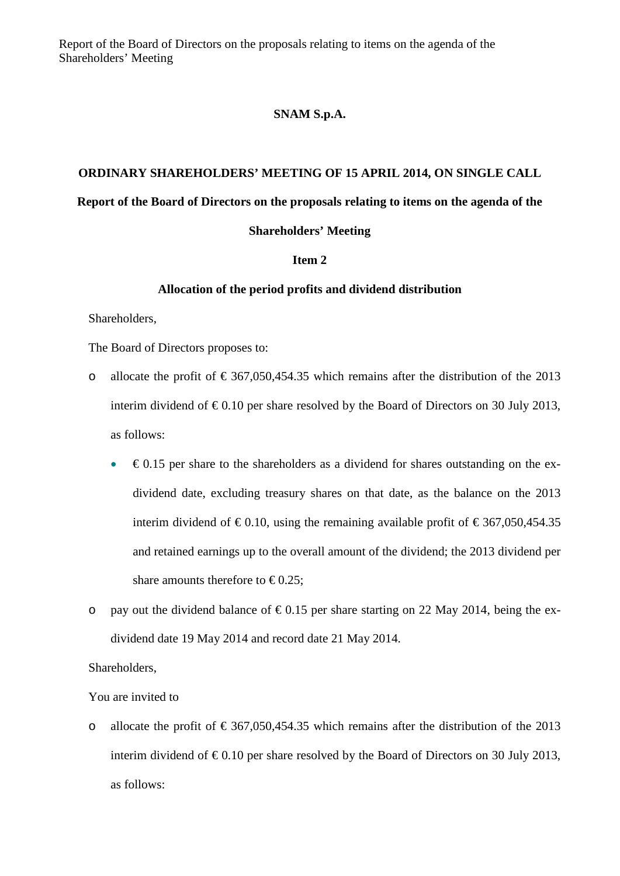Report of the Board of Directors on the proposals relating to items on the agenda of the Shareholders' Meeting

## **SNAM S.p.A.**

# **ORDINARY SHAREHOLDERS' MEETING OF 15 APRIL 2014, ON SINGLE CALL Report of the Board of Directors on the proposals relating to items on the agenda of the**

## **Shareholders' Meeting**

#### **Item 2**

#### **Allocation of the period profits and dividend distribution**

Shareholders,

The Board of Directors proposes to:

- o allocate the profit of  $\epsilon$  367,050,454.35 which remains after the distribution of the 2013 interim dividend of  $\epsilon 0.10$  per share resolved by the Board of Directors on 30 July 2013, as follows:
	- $\epsilon$ 0.15 per share to the shareholders as a dividend for shares outstanding on the exdividend date, excluding treasury shares on that date, as the balance on the 2013 interim dividend of  $\epsilon$ 0.10, using the remaining available profit of  $\epsilon$ 367,050,454.35 and retained earnings up to the overall amount of the dividend; the 2013 dividend per share amounts therefore to  $\epsilon$ 0.25;
- o pay out the dividend balance of  $\epsilon 0.15$  per share starting on 22 May 2014, being the exdividend date 19 May 2014 and record date 21 May 2014.

# Shareholders,

#### You are invited to

o allocate the profit of  $\epsilon$  367,050,454.35 which remains after the distribution of the 2013 interim dividend of  $\epsilon 0.10$  per share resolved by the Board of Directors on 30 July 2013, as follows: